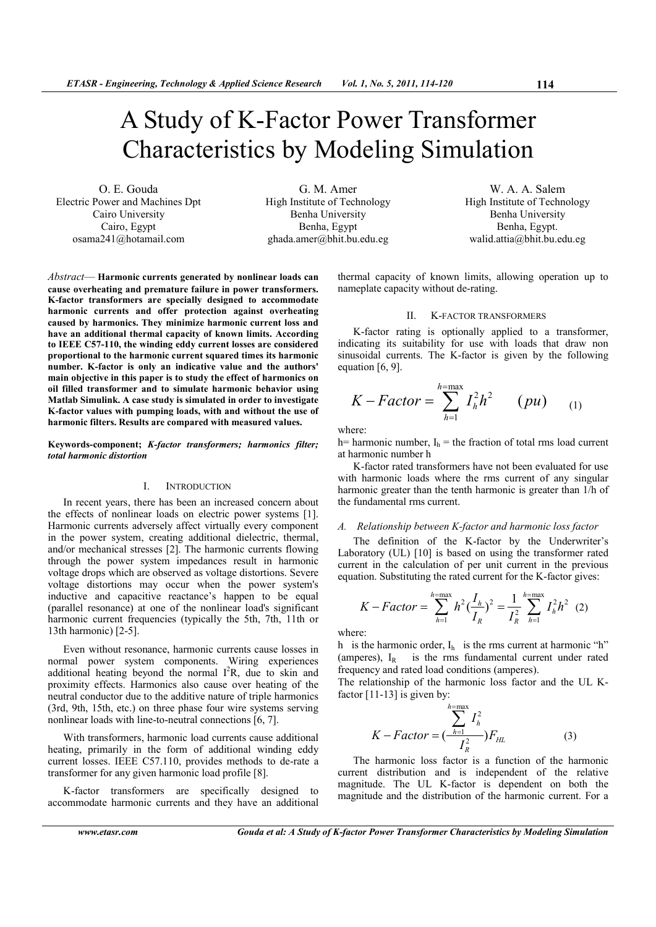# A Study of K-Factor Power Transformer Characteristics by Modeling Simulation

O. E. Gouda Electric Power and Machines Dpt Cairo University Cairo, Egypt osama241@hotamail.com

G. M. Amer High Institute of Technology Benha University Benha, Egypt ghada.amer@bhit.bu.edu.eg

W. A. A. Salem High Institute of Technology Benha University Benha, Egypt. walid.attia@bhit.bu.edu.eg

*Abstract*— **Harmonic currents generated by nonlinear loads can cause overheating and premature failure in power transformers. K-factor transformers are specially designed to accommodate harmonic currents and offer protection against overheating caused by harmonics. They minimize harmonic current loss and have an additional thermal capacity of known limits. According to IEEE C57-110, the winding eddy current losses are considered proportional to the harmonic current squared times its harmonic number. K-factor is only an indicative value and the authors' main objective in this paper is to study the effect of harmonics on oil filled transformer and to simulate harmonic behavior using Matlab Simulink. A case study is simulated in order to investigate K-factor values with pumping loads, with and without the use of harmonic filters. Results are compared with measured values.** 

#### **Keywords-component;** *K-factor transformers; harmonics filter; total harmonic distortion*

#### I. INTRODUCTION

In recent years, there has been an increased concern about the effects of nonlinear loads on electric power systems [1]. Harmonic currents adversely affect virtually every component in the power system, creating additional dielectric, thermal, and/or mechanical stresses [2]. The harmonic currents flowing through the power system impedances result in harmonic voltage drops which are observed as voltage distortions. Severe voltage distortions may occur when the power system's inductive and capacitive reactance's happen to be equal (parallel resonance) at one of the nonlinear load's significant harmonic current frequencies (typically the 5th, 7th, 11th or 13th harmonic) [2-5].

Even without resonance, harmonic currents cause losses in normal power system components. Wiring experiences additional heating beyond the normal  $I^2R$ , due to skin and proximity effects. Harmonics also cause over heating of the neutral conductor due to the additive nature of triple harmonics (3rd, 9th, 15th, etc.) on three phase four wire systems serving nonlinear loads with line-to-neutral connections [6, 7].

With transformers, harmonic load currents cause additional heating, primarily in the form of additional winding eddy current losses. IEEE C57.110, provides methods to de-rate a transformer for any given harmonic load profile [8].

K-factor transformers are specifically designed to accommodate harmonic currents and they have an additional thermal capacity of known limits, allowing operation up to nameplate capacity without de-rating.

#### II. K-FACTOR TRANSFORMERS

K-factor rating is optionally applied to a transformer, indicating its suitability for use with loads that draw non sinusoidal currents. The K-factor is given by the following equation [6, 9].

$$
K - Factor = \sum_{h=1}^{h=\max} I_h^2 h^2 \qquad (pu) \qquad (1)
$$

where:

h= harmonic number,  $I<sub>b</sub>$  = the fraction of total rms load current at harmonic number h

K-factor rated transformers have not been evaluated for use with harmonic loads where the rms current of any singular harmonic greater than the tenth harmonic is greater than 1/h of the fundamental rms current.

## *A. Relationship between K-factor and harmonic loss factor*

The definition of the K-factor by the Underwriter's Laboratory (UL) [10] is based on using the transformer rated current in the calculation of per unit current in the previous equation. Substituting the rated current for the K-factor gives:

$$
K-Factor = \sum_{h=1}^{h=\max} h^2 \left(\frac{I_h}{I_R}\right)^2 = \frac{1}{I_R^2} \sum_{h=1}^{h=\max} I_h^2 h^2 \tag{2}
$$

where:

h is the harmonic order,  $I_h$  is the rms current at harmonic "h" (amperes),  $I_R$  is the rms fundamental current under rated frequency and rated load conditions (amperes).

The relationship of the harmonic loss factor and the UL Kfactor  $[11-13]$  is given by:

$$
K - Factor = \left(\frac{\sum_{h=1}^{h=\max} I_h^2}{I_R^2}\right)F_{HL}
$$
 (3)

The harmonic loss factor is a function of the harmonic current distribution and is independent of the relative magnitude. The UL K-factor is dependent on both the magnitude and the distribution of the harmonic current. For a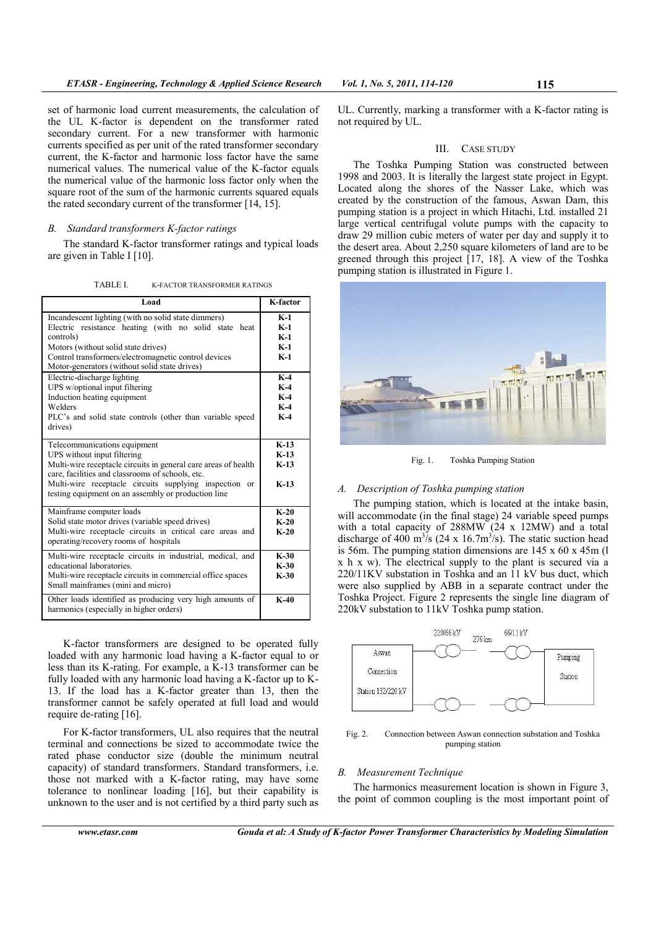set of harmonic load current measurements, the calculation of the UL K-factor is dependent on the transformer rated secondary current. For a new transformer with harmonic currents specified as per unit of the rated transformer secondary current, the K-factor and harmonic loss factor have the same numerical values. The numerical value of the K-factor equals the numerical value of the harmonic loss factor only when the square root of the sum of the harmonic currents squared equals the rated secondary current of the transformer [14, 15].

# *B. Standard transformers K-factor ratings*

The standard K-factor transformer ratings and typical loads are given in Table I [10].

TABLE I. K-FACTOR TRANSFORMER RATINGS

| Load                                                                                                                                                                                                                                                                                               | K-factor                                  |
|----------------------------------------------------------------------------------------------------------------------------------------------------------------------------------------------------------------------------------------------------------------------------------------------------|-------------------------------------------|
| Incandescent lighting (with no solid state dimmers)<br>Electric resistance heating (with no solid state<br>heat<br>controls)<br>Motors (without solid state drives)<br>Control transformers/electromagnetic control devices<br>Motor-generators (without solid state drives)                       | $K-1$<br>$K-1$<br>$K-1$<br>$K-1$<br>$K-1$ |
| Electric-discharge lighting<br>UPS w/optional input filtering<br>Induction heating equipment<br>Welders<br>PLC's and solid state controls (other than variable speed<br>drives)                                                                                                                    | $K-4$<br>$K-4$<br>$K-4$<br>$K-4$<br>$K-4$ |
| Telecommunications equipment<br>UPS without input filtering<br>Multi-wire receptacle circuits in general care areas of health<br>care, facilities and classrooms of schools, etc.<br>Multi-wire receptacle circuits supplying inspection or<br>testing equipment on an assembly or production line | $K-13$<br>$K-13$<br>$K-13$<br>$K-13$      |
| Mainframe computer loads<br>Solid state motor drives (variable speed drives)<br>Multi-wire receptacle circuits in critical care areas and<br>operating/recovery rooms of hospitals                                                                                                                 | $K-20$<br>$K-20$<br>$K-20$                |
| Multi-wire receptacle circuits in industrial, medical, and<br>educational laboratories.<br>Multi-wire receptacle circuits in commercial office spaces<br>Small mainframes (mini and micro)                                                                                                         | $K-30$<br>$K-30$<br>$K-30$                |
| Other loads identified as producing very high amounts of<br>harmonics (especially in higher orders)                                                                                                                                                                                                | $K-40$                                    |

K-factor transformers are designed to be operated fully loaded with any harmonic load having a K-factor equal to or less than its K-rating. For example, a  $\overline{K}$ -13 transformer can be fully loaded with any harmonic load having a K-factor up to K-13. If the load has a K-factor greater than 13, then the transformer cannot be safely operated at full load and would require de-rating [16].

For K-factor transformers, UL also requires that the neutral terminal and connections be sized to accommodate twice the rated phase conductor size (double the minimum neutral capacity) of standard transformers. Standard transformers, i.e. those not marked with a K-factor rating, may have some tolerance to nonlinear loading [16], but their capability is unknown to the user and is not certified by a third party such as

UL. Currently, marking a transformer with a K-factor rating is not required by UL.

## III. CASE STUDY

The Toshka Pumping Station was constructed between 1998 and 2003. It is literally the largest state project in Egypt. Located along the shores of the Nasser Lake, which was created by the construction of the famous, Aswan Dam, this pumping station is a project in which Hitachi, Ltd. installed 21 large vertical centrifugal volute pumps with the capacity to draw 29 million cubic meters of water per day and supply it to the desert area. About 2,250 square kilometers of land are to be greened through this project [17, 18]. A view of the Toshka pumping station is illustrated in Figure 1.



Fig. 1. Toshka Pumping Station

## *A. Description of Toshka pumping station*

The pumping station, which is located at the intake basin, will accommodate (in the final stage) 24 variable speed pumps with a total capacity of 288MW (24 x 12MW) and a total discharge of 400 m<sup>3</sup>/s (24 x 16.7m<sup>3</sup>/s). The static suction head is 56m. The pumping station dimensions are 145 x 60 x 45m (l x h x w). The electrical supply to the plant is secured via a 220/11KV substation in Toshka and an 11 kV bus duct, which were also supplied by ABB in a separate contract under the Toshka Project. Figure 2 represents the single line diagram of 220kV substation to 11kV Toshka pump station.



Fig. 2. Connection between Aswan connection substation and Toshka pumping station

#### *B. Measurement Technique*

The harmonics measurement location is shown in Figure 3, the point of common coupling is the most important point of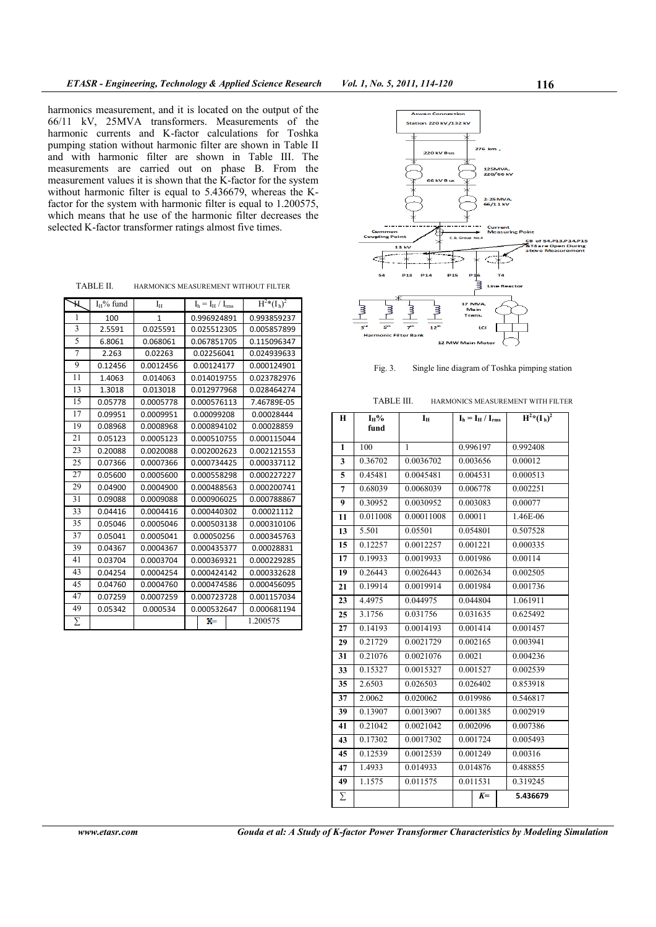harmonics measurement, and it is located on the output of the 66/11 kV, 25MVA transformers. Measurements of the harmonic currents and K-factor calculations for Toshka pumping station without harmonic filter are shown in Table II and with harmonic filter are shown in Table III. The measurements are carried out on phase B. From the measurement values it is shown that the  $K$ -factor for the system without harmonic filter is equal to 5.436679, whereas the Kfactor for the system with harmonic filter is equal to 1.200575, which means that he use of the harmonic filter decreases the selected K-factor transformer ratings almost five times.

TABLE II. HARMONICS MEASUREMENT WITHOUT FILTER

| Ж  | $I_H\%$ fund | $I_H$        | $I_h = I_H / I_{rms}$ |              |  | $\overline{H^{2*}(I_h)^2}$ |
|----|--------------|--------------|-----------------------|--------------|--|----------------------------|
| 1  | 100          | $\mathbf{1}$ | 0.996924891           |              |  | 0.993859237                |
| 3  | 2.5591       | 0.025591     | 0.025512305           |              |  | 0.005857899                |
| 5  | 6.8061       | 0.068061     |                       | 0.067851705  |  | 0.115096347                |
| 7  | 2.263        | 0.02263      |                       | 0.02256041   |  | 0.024939633                |
| 9  | 0.12456      | 0.0012456    |                       | 0.00124177   |  | 0.000124901                |
| 11 | 1.4063       | 0.014063     |                       | 0.014019755  |  | 0.023782976                |
| 13 | 1.3018       | 0.013018     |                       | 0.012977968  |  | 0.028464274                |
| 15 | 0.05778      | 0.0005778    |                       | 0.000576113  |  | 7.46789E-05                |
| 17 | 0.09951      | 0.0009951    |                       | 0.00099208   |  | 0.00028444                 |
| 19 | 0.08968      | 0.0008968    |                       | 0.000894102  |  | 0.00028859                 |
| 21 | 0.05123      | 0.0005123    |                       | 0.000510755  |  | 0.000115044                |
| 23 | 0.20088      | 0.0020088    |                       | 0.002002623  |  | 0.002121553                |
| 25 | 0.07366      | 0.0007366    |                       | 0.000734425  |  | 0.000337112                |
| 27 | 0.05600      | 0.0005600    |                       | 0.000558298  |  | 0.000227227                |
| 29 | 0.04900      | 0.0004900    |                       | 0.000488563  |  | 0.000200741                |
| 31 | 0.09088      | 0.0009088    |                       | 0.000906025  |  | 0.000788867                |
| 33 | 0.04416      | 0.0004416    | 0.000440302           |              |  | 0.00021112                 |
| 35 | 0.05046      | 0.0005046    | 0.000503138           |              |  | 0.000310106                |
| 37 | 0.05041      | 0.0005041    | 0.00050256            |              |  | 0.000345763                |
| 39 | 0.04367      | 0.0004367    | 0.000435377           |              |  | 0.00028831                 |
| 41 | 0.03704      | 0.0003704    | 0.000369321           |              |  | 0.000229285                |
| 43 | 0.04254      | 0.0004254    | 0.000424142           |              |  | 0.000332628                |
| 45 | 0.04760      | 0.0004760    | 0.000474586           |              |  | 0.000456095                |
| 47 | 0.07259      | 0.0007259    | 0.000723728           |              |  | 0.001157034                |
| 49 | 0.05342      | 0.000534     | 0.000532647           |              |  | 0.000681194                |
| Σ  |              |              |                       | $\mathbf{K}$ |  | 1.200575                   |





TABLE III. HARMONICS MEASUREMENT WITH FILTER

| Н            | $I_H$ %  | Iн           | $I_h = I_H / I_{rms}$ |          | $H^{2*}(I_h)^2$ |
|--------------|----------|--------------|-----------------------|----------|-----------------|
|              | fund     |              |                       |          |                 |
| $\mathbf{1}$ | 100      | $\mathbf{1}$ |                       | 0.996197 | 0.992408        |
| 3            | 0.36702  | 0.0036702    |                       | 0.003656 | 0.00012         |
| 5            | 0.45481  | 0.0045481    |                       | 0.004531 | 0.000513        |
| 7            | 0.68039  | 0.0068039    |                       | 0.006778 | 0.002251        |
| 9            | 0.30952  | 0.0030952    |                       | 0.003083 | 0.00077         |
| 11           | 0.011008 | 0.00011008   | 0.00011               |          | 1.46E-06        |
| 13           | 5.501    | 0.05501      |                       | 0.054801 | 0.507528        |
| 15           | 0.12257  | 0.0012257    |                       | 0.001221 | 0.000335        |
| 17           | 0.19933  | 0.0019933    |                       | 0.001986 | 0.00114         |
| 19           | 0.26443  | 0.0026443    | 0.002634              |          | 0.002505        |
| 21           | 0.19914  | 0.0019914    | 0.001984              |          | 0.001736        |
| 23           | 4.4975   | 0.044975     | 0.044804              |          | 1.061911        |
| 25           | 3.1756   | 0.031756     | 0.031635              |          | 0.625492        |
| 27           | 0.14193  | 0.0014193    | 0.001414              |          | 0.001457        |
| 29           | 0.21729  | 0.0021729    |                       | 0.002165 | 0.003941        |
| 31           | 0.21076  | 0.0021076    | 0.0021                |          | 0.004236        |
| 33           | 0.15327  | 0.0015327    | 0.001527              |          | 0.002539        |
| 35           | 2.6503   | 0.026503     | 0.026402              |          | 0.853918        |
| 37           | 2.0062   | 0.020062     |                       | 0.019986 | 0.546817        |
| 39           | 0.13907  | 0.0013907    | 0.001385              |          | 0.002919        |
| 41           | 0.21042  | 0.0021042    |                       | 0.002096 | 0.007386        |
| 43           | 0.17302  | 0.0017302    | 0.001724              |          | 0.005493        |
| 45           | 0.12539  | 0.0012539    | 0.001249              |          | 0.00316         |
| 47           | 1.4933   | 0.014933     |                       | 0.014876 | 0.488855        |
| 49           | 1.1575   | 0.011575     |                       | 0.011531 | 0.319245        |
| Σ            |          |              |                       | $K =$    | 5.436679        |

*www.etasr.com Gouda et al: A Study of K-factor Power Transformer Characteristics by Modeling Simulation*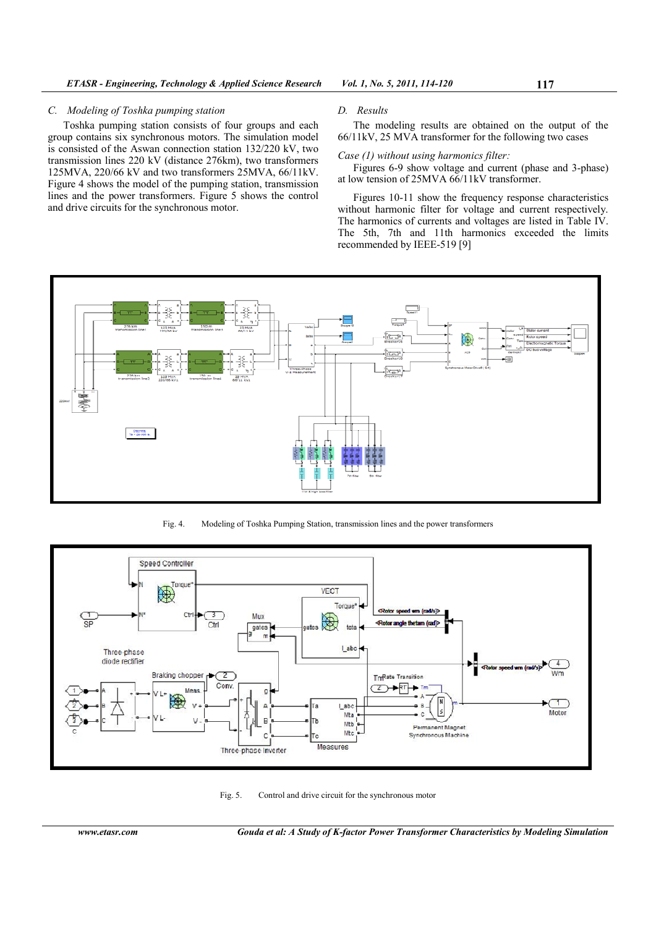# *C. Modeling of Toshka pumping station*

Toshka pumping station consists of four groups and each group contains six synchronous motors. The simulation model is consisted of the Aswan connection station 132/220 kV, two transmission lines 220 kV (distance 276km), two transformers 125MVA, 220/66 kV and two transformers 25MVA, 66/11kV. Figure 4 shows the model of the pumping station, transmission lines and the power transformers. Figure 5 shows the control and drive circuits for the synchronous motor.

#### *D. Results*

The modeling results are obtained on the output of the 66/11kV, 25 MVA transformer for the following two cases

*Case (1) without using harmonics filter:* 

Figures 6-9 show voltage and current (phase and 3-phase) at low tension of 25MVA 66/11kV transformer.

Figures 10-11 show the frequency response characteristics without harmonic filter for voltage and current respectively. The harmonics of currents and voltages are listed in Table IV. The 5th, 7th and 11th harmonics exceeded the limits recommended by IEEE-519 [9]



Fig. 4. Modeling of Toshka Pumping Station, transmission lines and the power transformers



Fig. 5. Control and drive circuit for the synchronous motor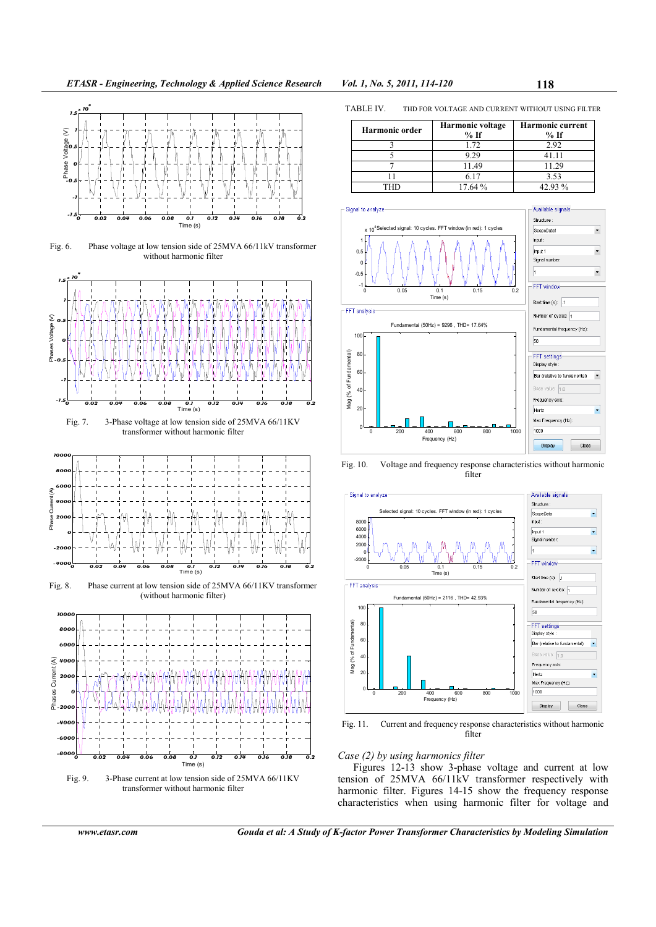

Fig. 6. Phase voltage at low tension side of 25MVA 66/11kV transformer without harmonic filter



transformer without harmonic filter



Fig. 8. Phase current at low tension side of 25MVA 66/11KV transformer (without harmonic filter)



transformer without harmonic filter

TABLE IV. THD FOR VOLTAGE AND CURRENT WITHOUT USING FILTER

| <b>Harmonic order</b> | Harmonic voltage<br>$%$ If | <b>Harmonic current</b><br>$%$ If |
|-----------------------|----------------------------|-----------------------------------|
|                       | 1.72                       | 2.92                              |
|                       | 9.29                       | 41.11                             |
|                       | 11.49                      | 11.29                             |
|                       | 6.17                       | 3.53                              |
| THD                   | 17.64%                     | 42.93%                            |



Fig. 10. Voltage and frequency response characteristics without harmonic filter



Fig. 11. Current and frequency response characteristics without harmonic filter

*Case (2) by using harmonics filter* 

Figures 12-13 show 3-phase voltage and current at low tension of 25MVA 66/11kV transformer respectively with harmonic filter. Figures 14-15 show the frequency response characteristics when using harmonic filter for voltage and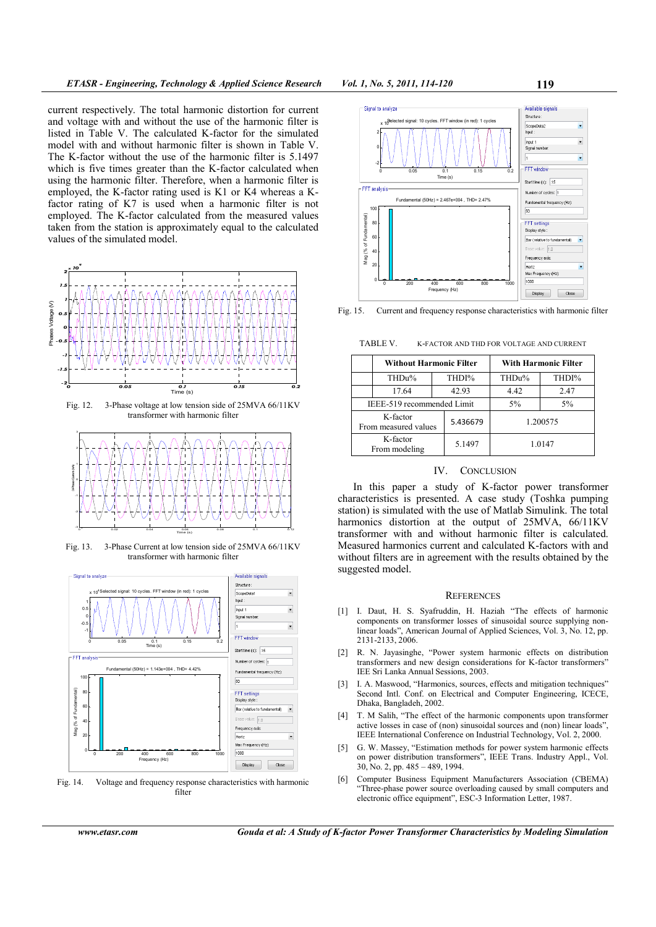current respectively. The total harmonic distortion for current and voltage with and without the use of the harmonic filter is listed in Table V. The calculated K-factor for the simulated model with and without harmonic filter is shown in Table V. The K-factor without the use of the harmonic filter is 5.1497 which is five times greater than the K-factor calculated when using the harmonic filter. Therefore, when a harmonic filter is employed, the K-factor rating used is K1 or K4 whereas a Kfactor rating of K7 is used when a harmonic filter is not employed. The K-factor calculated from the measured values taken from the station is approximately equal to the calculated values of the simulated model.



Fig. 12. 3-Phase voltage at low tension side of 25MVA 66/11KV transformer with harmonic filter



Fig. 13. 3-Phase Current at low tension side of 25MVA 66/11KV transformer with harmonic filter



Fig. 14. Voltage and frequency response characteristics with harmonic filter



Fig. 15. Current and frequency response characteristics with harmonic filter

TABLE V. K-FACTOR AND THD FOR VOLTAGE AND CURRENT

|                                  | <b>Without Harmonic Filter</b> |          |          | With Harmonic Filter |       |  |
|----------------------------------|--------------------------------|----------|----------|----------------------|-------|--|
|                                  | THDu%                          |          | THDI%    | THDu%                | THDI% |  |
|                                  | 17.64                          |          | 42.93    | 4.42                 | 2.47  |  |
| IEEE-519 recommended Limit       |                                |          | $5\%$    | 5%                   |       |  |
| K-factor<br>From measured values |                                | 5.436679 | 1.200575 |                      |       |  |
| K-factor<br>From modeling        |                                | 5.1497   | 1.0147   |                      |       |  |

## IV. CONCLUSION

In this paper a study of K-factor power transformer characteristics is presented. A case study (Toshka pumping station) is simulated with the use of Matlab Simulink. The total harmonics distortion at the output of 25MVA, 66/11KV transformer with and without harmonic filter is calculated. Measured harmonics current and calculated K-factors with and without filters are in agreement with the results obtained by the suggested model.

#### **REFERENCES**

- [1] I. Daut, H. S. Syafruddin, H. Haziah "The effects of harmonic components on transformer losses of sinusoidal source supplying nonlinear loads", American Journal of Applied Sciences, Vol. 3, No. 12, pp. 2131-2133, 2006.
- [2] R. N. Jayasinghe, "Power system harmonic effects on distribution transformers and new design considerations for K-factor transformers" IEE Sri Lanka Annual Sessions, 2003.
- [3] I. A. Maswood, "Harmonics, sources, effects and mitigation techniques" Second Intl. Conf. on Electrical and Computer Engineering, ICECE, Dhaka, Bangladeh, 2002.
- [4] T. M Salih, "The effect of the harmonic components upon transformer active losses in case of (non) sinusoidal sources and (non) linear loads", IEEE International Conference on Industrial Technology, Vol. 2, 2000.
- [5] G. W. Massey, "Estimation methods for power system harmonic effects on power distribution transformers", IEEE Trans. Industry Appl., Vol. 30, No. 2, pp. 485 – 489, 1994.
- [6] Computer Business Equipment Manufacturers Association (CBEMA) "Three-phase power source overloading caused by small computers and electronic office equipment", ESC-3 Information Letter, 1987.